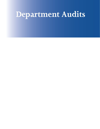# **Department Audits**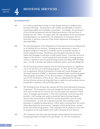# **BACKGROUND**

- **4.1** It is widely accepted that housing is a basic human need and is fundamental to personal well-being. Housing that is safe, healthy and affordable is crucial to maintaining healthy and sustainable communities. Accordingly, the government of Nova Scotia has partnered with the Federal government in the provision of housing since the 1960's. In August 2000, the responsibility for the government's housing programs was transferred to the Department of Community Services. Previously, it had been a function of the former Department of Housing and Municipal Affairs.
- **4.2** The housing programs of the Department of Community Services are administered by its Housing Services Division. Housing Services administers a variety of programs designed to help low to moderate income households maintain or acquire adequate housing. The Division provides grants and loans for home repairs and mortgages to purchase or build modest homes. It provides services in support of the Province's social housing units and subsidies to housing sponsors such as co-operatives and non-profit housing societies providing 9,000 dwelling units. As well, it develops and markets moderately-priced, serviced building lots.
- **4.3** The Provincial government partners with the Federal government in a significant way in the provision of social housing programs. In 1994, the Province entered into an agreement with the Government of Canada and Canada Mortgage and Housing Corporation (CMHC) to administer residential repair assistance programs. These programs are funded 75% by the Government of Canada through CMHC, and 25% by the Province of Nova Scotia. They are administered by Housing Services Division and provide forgivable loans to enable low and moderate income households to maintain a safe and healthy place to live.
- **4.4** The Housing Services Division also operates the Nova Scotia Housing Development Corporation. The Corporation owns and manages the Province's social housing assets and accounts for the revenues and costs associated with operation of those assets. It manages approximately 11,650 senior and family social housing units, provides 1,540 housing units under its Rural and Native Housing Program, and provides rental assistance to 800 low income households in private rental accommodations. As well, the Corporation provides direct lending or loan guarantees to qualified housing sponsors which satisfy a housing need, but cannot obtain financing in the private sector. Examples include group homes, nursing homes and assisted living projects. The Corporation has no employees of its own. Its programs are the responsibility of the staff of Housing Services Division.
- **4.5** The Corporation also enters into and manages certain Federal-Provincial social housing agreements on behalf of the government. In 1997 the Corporation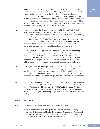entered into the Social Housing Agreement with CMHC. Under this agreement, CMHC's ownership in Nova Scotian social housing units, as well as the related loan portfolio, were transfered to the Nova Scotia Housing Development Corporation. Annual Federal funding to maintain the housing units was capped at 1995 levels and will follow a pre-defined declining schedule which will expire in 2034. The Department projects that – at current service levels – there will be an accumulated deficit of \$230 million by the time this agreement expires unless additional revenues are generated or costs are reduced.

- **4.6** In September 2002, the Corporation signed the CMHC-Nova Scotia Affordable Housing Program Agreement. It is valued at \$37.3 million, half to be provided by the Federal government and half by the Provincial government and its housing partners. The agreement includes funding for the construction and maintenance of rental properties and individual households. It is anticipated that up to 1,500 housing units will be created or renovated as a result of the agreement. In November 2002, construction of the first new affordable housing units in the Province in ten years was commenced in the Town of Middleton.
- **4.7** The primary Provincial legislation regulating the Department of Community Services' housing programs is the Housing Act and the Housing Development Corporation Act. Services of both the Housing Services Division and the Corporation are provided through four regional offices and seven governmentadministered housing authorities. The Division has approximately 90 staff. Exhibit 4.2 on page 63 illustrates the organizational structure of the Division.
- **4.8** Total expenditures for Housing Services in 2002-03 were \$137.5 million. Of this amount, \$117.2 million was for social housing programs and \$12.6 million was for home ownership and repair programs, with the remainder being spent on program administration and operations. \$56.3 million was recovered from the Federal government and municipal governments. The Division also had rental revenues of \$48.6 million.
- **4.9** The Housing Development Corporation had total revenues and total expenditures of \$124.7 million in 2002-03. At March 31, 2003 the Corporation had total assets of \$465.9 million, of which the majority (\$379.5 million) was the Province's investment in land and social housing units. As of that date, the Corporation also had outstanding loan and mortgage guarantees to CMHC and private lenders totaling \$198.2 million.

# **RESULTS IN BRIEF**

- **4.10** The following are our principal observations from this audit.
	- Strategic and business planning have been performed for the Housing Services Division and the Housing Development Corporation. We observed compliance with government's business planning guidelines. Performance measures have been developed for both the Division and the Corporation. We

**COMMUNITY SERVICES**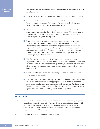advised that the Division should develop performance measures for each of its stated priorities.

- Internal and external accountability structures and reporting are appropriate.  $\sim 100$
- There is a need to update and possibly consolidate the Province's social **Tale** housing-related legislation. There is a similar need to update Department policies and procedures for social housing programs.
- We observed reasonable systems during our examination of financial management and reporting for social housing programs. The completion of the Department's new computerized property management system should further improve program management.
- **Many of the non-government housing sponsors receiving government** subsidies, such as co-operatives and non-profit housing societies, are experiencing serious financial difficulties. Department staff monitor the organizations and provide advice. However, we found that the Department does not always get all the information needed from housing sponsors on a timely basis, and Department reviews and building inspections are not occurring as regularly as required.
- We observed weaknesses in the Department's compliance with program requirements for its Residential Rehabilitation Assistance Program. Verification of client income did not always follow guidelines, legal documents were not always correct or complete, and property inspections were not always welldocumented.
- Control over the processing and monitoring of recoveries from the Federal government is reasonable.
- The Department has performed or participated in a number of evaluations and studies of its various social housing programs. These exercises are valuable in assessing whether programs are meeting their objectives. The Department has fallen behind in some program evaluations required by Federal-Provincial agreements, but there is a formal plan for performing them.

### **AUDIT SCOPE**

- **4.11** In August 2003 we completed a broad scope audit of various housing programs at the Department of Community Services. It was conducted in accordance with Section 8 of the Auditor General Act and auditing standards established by the Canadian Institute of Chartered Accountants, and included all tests and other procedures we considered necessary in the circumstances.
- **4.12** The objectives of this assignment were to assess: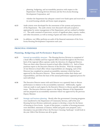- planning, budgeting, and accountability practices with respect to the Department's Housing Services Division and the Nova Scotia Housing Development Corporation; and
- whether the Department has adequate control over funds spent and received in its social housing subsidy and home repair programs.
- **4.13** Audit criteria were developed for the assessment of the systems and practices of the Department. The audit criteria were discussed with and accepted as appropriate by senior management of the Department, and are outlined in Exhibit 4.1. The audit consisted of interviews; review of significant plans, reports, studies, and other documents; as well as testing of grant and other control procedures.
- **4.14** In addition, our Office performs an audit of the financial statements of the Nova Scotia Housing Development Corporation each year.

# **PRINCIPAL FINDINGS**

# **Planning, Budgeting and Performance Reporting**

- **4.15** Internal accountability structure The Housing Services Division is comprised of a head office in Halifax and four regional offices located throughout the Province. Each of the regional offices operates under the direction of a Regional Director. There are three other Directors located at head office (Exhibit 4.2). Each of these positions report to the Executive Director of the Division. With the exception of one Director at head office whose responsibilities are changing, each of the Directors has completed an annual accountability statement which has been approved by the Executive Director. These statements outline their duties and responsibilities, and form the basis of the annual performance appraisal process for each individual.
- **4.16** The Executive Director meets with each Director on a quarterly basis to discuss performance in relation to the accountability statement. Additionally, regular visits are made to each region by the Executive Director to discuss specific regional issues. The Executive Director reports to the Deputy Minister of the Department and has prepared an accountability statement which was approved by the previous Deputy Minister.
- **4.17** Strategic and business planning Shortly after the government's housing programs were transferred to the Department of Community Services, staff of the new Housing Services Division undertook a project to develop a vision for the future of housing in Nova Scotia. As part of that project, a number of housing pressures were identified, statements of mission, beliefs and goals were prepared, and a description was provided of how the Province's housing 'landscape' would look in the year 2006 if the Division met all its goals.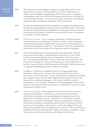- **4.18** The Division has recently finalized a long-term strategic plan to lead it in the achievement of its vision. We observed from our review of the plan that it addresses all the significant responsibilities of the Division and was developed with significant input from staff of the Housing Services Division, including staff of the Housing Authorities. At the time of our audit, the Division was preparing operational plans to implement components of the strategic plan. **COMMUNITY SERVICES**
	- **4.19** Government departments and crown corporations are required to prepare annual business plans using guidelines issued by Treasury and Policy Board. We reviewed the 2003-04 business plans for the Department of Community Services and Nova Scotia Housing Development Corporation and concluded that they were prepared in accordance with the guidelines.
	- **4.20** Performance measures A key component of planning is determining means of measuring success in achieving the objectives of a plan. Senior management indicated that development of performance measures for the achievement of its strategic and annual goals is underway. Some measures have been developed and are presented in the business plans of the Department and the Corporation.
	- **4.21** We reviewed performance measures presented in the Department's 2003-04 business plan which apply to the Housing Services Division, as well as those in the Nova Scotia Housing Development Corporation's 2003-04 business plan. We noted that performance measures relate well to the Department's and Corporation's stated goals. However, the Department's business plan does not provide a measure for each of the Housing Services Division's stated priorities and we suggested expanding performance measures accordingly.
	- **4.22** In addition, we did not see a significant amount of ongoing performance information relating to the occupancy rates in government-owned and nongovernment social housing units. A study conducted for the Department indicated that occupancy rates in the Cape Breton Regional Municipality were lower than expected due to shifting demographics. We believe it would be useful for management to have occupancy information by housing program and area of the Province to help make decisions with respect to the allocation of resources to areas and programs of greatest need.
	- **4.23** Performance reporting The Housing Services Division has various means of reporting on performance. Information on the expenses and recoveries of the Division are included in the annual budget and monthly forecasts of the Department of Community Services. Information on the Division's financial performance is provided to the Minister, along with explanations of changes in the forecast of current year expenditures and recoveries, and variances from the previous year's expenditures and recoveries. As well, the staffing levels for the Division are presented along with explanations for variances. The annual Estimates and Public Accounts for the Department, tabled in the House of Assembly, contain information on the financial operations and staffing of the Division.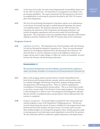- **4.24** At the time of our audit, the most recent Departmental Accountability Report was for the 2001-02 fiscal year. We found that it was prepared in accordance with government guidelines. The report summarizes the Housing Services Division's accomplishments in achieving the priorities described in the 2001-02 business plan of the Department.
- **4.25** The Nova Scotia Housing Development Corporation reports on its performance to the House of Assembly through its audited financial statements and annual Accountability Report. The financial statements for the 2002-03 fiscal year summarize the operations of the Corporation and Housing Authorities, and include all program expenditures and recoveries under the Social Housing Agreement. The Corporation's latest Accountability Report describes achievements relating to priorities outlined in the 2001-02 business plan of the Corporation.

# **Program Control**

**4.26** Legislation and policy - The Department has a broad mandate under the Housing Act and the Housing Development Corporation Act. These Acts provide general authority for all programs administered by the Housing Services Division. We observed there is a need to eliminate sections of the legislation which are no longer relevant and to make changes to reflect the current accountability structure between the Division and the Housing Authorities.

### **Recommendation 4.1**

We recommend the Department work with its Minister, government and the Legislature to update, and possibly consolidate, the Housing Act and Housing Development Corporation Act.

- **4.27** Many of the program policies and procedures currently being followed are from Division and Housing Authority manuals, policies and procedures used by Canadian Mortgage and Housing Corporation, program training materials, and agreements with housing sponsors. There is a need for updating and consolidation of housing policies and procedures. This is an observation similar to one from a recent study of the Division's home repair programs. The Division is still assessing how it delivers some of its programs and management indicated that the need for consolidated polices and procedures will be addressed after this exercise is completed.
- **4.28** Program management An annual budget is prepared for the various grant and subsidy programs as part of the Department's budgeting process. The process involves determining the amount of money available for each program based upon Federal and Provincial subsidies and other sources of revenues and recoveries. More detailed budgets are developed for programs where subsidy payments made to housing sponsors are based upon actual expenditures incurred by the sponsors. We also noted that staff have studied the capital maintenance and improvement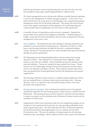needs for government-owned social housing units over the next five years and have prepared a long-range capital budget proposal to address needs.

- **4.29** We found management receive relevant and sufficient monthly financial reporting to assist in the management of subsidy and grant programs. At the time of our audit, the Division was in the process of developing a new computerized property management system for the Housing Authorities. This project has slowed down some of the regular reporting for certain programs, but overall reporting and control should improve significantly once the system is fully operational.
- **4.30** A monthly forecast of expenditures and recoveries is prepared. Explanations are provided when variances from budget are identified. A detailed analysis of budget, actual and forecasted expenditures and recoveries is prepared for Division management at least once a year.
- **4.31** Client eligibility The Department provides funding to Housing Authorities and subsidies to non-government housing sponsors. Payments are made on a daily basis to the Housing Authorities through the Division's centralized banking system. Payments to housing sponsors are made monthly based upon the amounts specified in sponsor agreements.
- **4.32** The Department has developed detailed policies and procedures for housing sponsors to follow. They specify how to determine tenant eligibility, select tenants as units become available, verify household income and calculate tenant rents and subsidies. Tenants are required to sign standard-form leases. Tenant income is to be verified again during the lease renewal process and the tenant's rent is to be adjusted according to income. These policies and procedures have been incorporated into formal agreements between the Department and sponsor organizations.
- **4.33** The Housing Authorities require tenants to complete standard application forms, and use standard forms to calculate tenant income and tenant rents. Housing sponsors, such as co-operatives and non-profit housing societies, have been provided with standard forms.
- **4.34** Housing sponsor reporting Year-end financial statements are to be prepared, audited and submitted for each housing sponsor which receives a subsidy from the Department. The housing sponsors are also required to ask their external auditors to express an opinion on the calculation and verification of tenant income and the calculation of tenant rents.
- **4.35** Organizations which receive payments under the rent supplement program are an exception to this requirement because they are only providing individual rental units at agreed upon rents. We also found that the 2001-02 financial statements for the Rural and Native Housing Program were not audited, but the 2002- 03 statements were. This area of operation is being merged into the Housing Authorities and, accordingly, will be audited in future years as part of the financial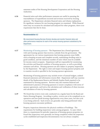statement audits of the Housing Development Corporation and the Housing Authorities.

**4.36** Financial ratios and other performance measures are useful in assessing the reasonableness of expenditures incurred and revenues received by housing sponsors. The Department calculates financial ratios and obtains explanations for significant variances for one housing program we examined. While financial ratios may on occasion be calculated and analyzed for other programs, there is no requirement that this be done.

# **Recommendation 4.2**

We recommend Housing Services Division develop and monitor financial ratios and other performance measures for each of the various housing sponsors subsidized by the Department.

- **4.37** Monitoring of housing sponsors The Department has a formal agreement with each housing sponsor that receives a subsidy from the government. The agreements lay out various requirements that housing sponsors must fulfill, such as keeping accurate and complete records, maintaining dwelling units in good condition, and the minimum number of units which must be available for income-tested occupants. Department staff are responsible for monitoring the activities and financial condition of housing sponsors, as well as providing assistance and advice. Housing sponsors are also subject to property inspections by the Department. The right to enter and inspect housing sponsor property and to examine records is specified in the housing sponsor agreements.
- **4.38** Monitoring of housing sponsors may include review of annual budgets, audited financial statements and information returns filed. Department staff may examine details of the Replacement Reserve and Subsidy Surplus funds required to be maintained by housing sponsors. Reviews may also examine financial and administrative practices of housing sponsors to ensure compliance with terms of sponsor agreements, and look at the calculation and verification of client incomes and calculation of rents by housing sponsors.
- **4.39** We found that reviews were only conducted on a regular basis for the Rural and Native Housing Program. According to policy, reviews are to be completed on cooperatives and non-profit housing organizations every three years, but this cycle is not being achieved. Such reviews are generally only being performed when housing sponsors encounter problems.
- **4.40** Property inspections determine the physical condition of buildings. The requirement for building inspections varies among programs. In cases where there is a requirement for periodic inspection of housing sponsor properties we found that inspections were generally not being completed within the inspection cycles established and inspection documentation was not always complete.

**COMMUNITY SERVICES**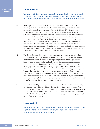#### **Recommendation 4.3**

We recommend that the Department develop a formal, comprehensive system for conducting reviews and property inspections of housing sponsors. Policies concerning the selection, performance, quality control and follow-up of reviews and inspections should be documented.

- **4.41** Housing sponsors are required to submit various documents to the Division on a regular basis. We observed instances where housing sponsors had not submitted financial statements and delays in Division staff review of those financial statements that were submitted. Minimal review and analysis are performed on financial statements received and there is minimal documentation of communications with housing sponsors after a review to discuss issues and problems noted. We also observed instances where annual project data reports and auditors' confirmations concerning the calculation and review of tenants' income and calculation of tenants' rents were not submitted to the Division. Management informed us that obtaining required information from some housing sponsors is very difficult. They have to be reminded frequently and in some cases may have to be warned that funding will be suspended.
- **4.42** We also understand that many housing sponsors have incurred operating losses, working capital shortages and excessive debt in order to undertake needed repairs. Housing sponsors are required to make yearly payments into a Replacement Reserve fund to ensure sufficient funds for ongoing maintenance and repairs to properties. We noted instances where housing sponsors had either not made yearly payments or had delayed making the payment. There were also cases where housing sponsors had received funds under other housing grant programs because there was insufficient money in Replacement Reserve funds to pay for needed repairs. Both situations illustrate the financial difficulties being faced by some housing sponsors. Division staff work with individual organizations to help resolve such issues, but we found project files do not always adequately document the difficulties and the remedial measures being taken.
- **4.43** The rents charged by housing sponsors are to be at the low end of market rents, or at least at rates which provide for the viablity of the housing sponsor. We found that there is inadequate documentation in Housing Services Division files to indicate the analysis undertaken by staff to monitor market rents, and we found that the Division is not regularly monitoring rents charged by housing sponsors to ensure they are reasonable.

# **Recommendation 4.4**

We recommend the Department improve its files for the monitoring of housing sponsors. The Department should also monitor rents charged by housing sponsors and assess them for reasonableness in comparison to market rents.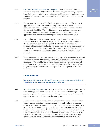**COMMUNITY SERVICES**

- **4.44** Residential Rehabilitation Assistance Program The Residential Rehabilitation Assistance Program (RRAP) is a Federal-Provincial program providing forgivable loans for housing repairs to ensure minimum health and safety standards are met. Exhibit 4.3 describes the various types of housing eligible for funding under the program.
- **4.45** The program is administered by the Housing Services Division. The income of applicants must be reviewed and verified by Division staff to ensue it does not exceed program limits. Based on our tests, the verification of income is not as rigorous as it should be. We noted instances where applicants' incomes were not calculated in accordance with program guidelines, and instances where applications were approved even though income exceeded income limits.
- **4.46** We noted instances where documentation supplied by applicants to support funding requests was inadequate. Inspections are to be performed to ensure all required repairs have been completed. We found that the quality of documentation to support the findings of inspections varied. In some cases it was difficult to determine if inspections had been performed and, if they had been, whether the work carried out by the contractor was to the satisfaction of the inspector.
- **4.47** Promissory notes and mortgage documents are prepared to ensure the Department has adequate security if the ongoing terms and conditions for a forgivable loan are not met. We noted instances where promissory notes were not completed properly or were for an incorrect amount. We also observed an instance where a signed mortgage document was not prepared, even though repairs had been completed.

#### **Recommendation 4.5**

We recommend the Division develop quality assurance procedures to ensure all Residential Rehabilitation Assistance Program requirements are being met.

- **4.48** Federal-Provincial agreements The Department has entered into agreements with Canada Mortgage and Housing Corporation for the administration of grant and subsidy programs. We examined the monitoring of payments received under the agreements and found the process to be appropriate.
- **4.49** The maximum amounts claimable from the Federal government are specified in the agreements. Actual recoveries are compared to budgeted amounts during the preparation of the Division's monthly forecasts. The Division prepares yearly claims which are audited by a public accounting firm. Division staff review and prepare a written response to the management letter submitted by the accounting firm. The audited claims are submitted to CMHC for review. A letter is sent by CMHC to the Department outlining any issues they have identified. Housing Services Division staff are responsible for ensuring these issues are resolved.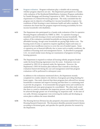- **4.50** Program evaluation Program evaluations play a valuable role in assessing whether program objectives are met. The Department participated in a Canadawide evaluation of the Residential Rehabilitation Assistance Program undertaken by Canada Mortgage and Housing Corporation in 2002. This evaluation was a requirement of a Federal-Provincial agreement. The study concluded that the program met its objective of enabling low-income households to improve the conditions of their housing to meet minimum health and safety standards. The evaluation also found that the program improved housing accessibility for lowincome households with disabilities. **COMMUNITY SERVICES**
	- **4.51** The Department also participated in a Canada-wide evaluation of the Co-operative Housing Program undertaken by CMHC in 2002. Co-operative housing is intended to provide housing to lower and moderate income households. The authors of the evaluation concluded households are being provided with affordable housing, though some households are paying high shelter costs. The housing stock of some co-operatives requires significant repairs and many cooperatives have insufficient reserves to cover the cost of needed repairs. Some co-operatives are in financial difficulty due to issues such as market conditions, the condition of housing stock and management factors. As described in paragraph 4.42, we noted similar issues during our examination of programs involving housing sponsors.
	- **4.52** The Department is required to evaluate all housing subsidy programs funded under the Social Housing Agreement every five years. Evaluations were not completed in 2002-03 as required under the Agreement. However, the Department's 2003-04 business plan indicates that it intends to develop an evaluation framework during the year and management noted that program evaluations will be performed in subsequent years.
	- **4.53** In addition to the evaluations mentioned above, the Department recently completed two studies related to the delivery of programs providing funding for home repairs. One study observed that these programs have allowed low-income households to maintain and improve housing and that there is a continuing need to provide the programs. It recommended that program terms and conditions be standardized and some grant programs be consolidated. The other study noted that there is a need to standardize the inspection process, and that benefits could be achieved through greater use of technology by inspection staff. At the time of our audit, Division management were reviewing the studies and developing an action plan to address the issues identified.
	- **4.54** The Housing Services Division has also prepared a document entitled Nova Scotia Housing Research Framework. The document identifies potential research themes according to Divisional goals, and specifies five specific priorities for research by the Department.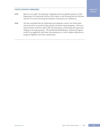# **CONCLUDING REMARKS**

**COMMUNITY SERVICES**

- **4.55** Based on our audit, the planning, budgeting and accountability practices of the Department of Community Services with respect to the Housing Services Division and the Nova Scotia Housing Development Corporation are satisfactory.
- **4.56** We also concluded that the Department has adequate control over funds spent and received by its social housing subsidy and home repair programs. However, improvements could be made in file documentation, monitoring and inspections relating to housing sponsors. The Residential Rehabilitation Assistance Program could be strengthened with better documentation, as well as tighter adherence to program eligibility and other requirements.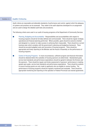# Exhibit 4.1 **Audit Criteria**  Audit criteria are reasonable and attainable standards of performance and control, against which the adequacy of systems and practices can be assessed. They relate to the audit objectives developed for an assignment and are used to design the detailed audit tests and procedures. The following criteria were used in our audit of housing programs at the Department of Community Services: ■ Planning, Budgeting and Accountability - Responsibilities and accountabilities with respect to housing programs should be formally defined and communicated. There should be regular strategic, operational and financial planning performed. Where possible, goals should be outcome oriented and designed in a manner to make success in achieving them measurable. There should be a current business plan which complies with the government's planning and budgeting framework. There should be accurate budgeted costs and recoveries of housing programs. There should be appropriate and timely reporting to the Minister and the House of Assembly on the performance of housing programs. **n** Control of Housing Programs - In most circumstances, sufficient program and financial information should be obtained before the subsidies of housing sponsors are determined. Standardized goals, service level standards and performance expectations should be agreed to between the Division and the sponsors. There should be regular and timely assessment of sponsors' performance in meeting agreed upon goals, service level standards and performance expectations. There should be systems to ensure housing grants are only made to applicants who are eligible to receive funding. The performance of housing programs should be regularly monitored and evaluated. There should be appropriate monitoring and reporting on the operation of Federal-Provincial cost shared agreements.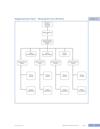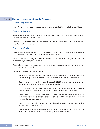| Exhibit 4.3 | Mortgage, Grant and Subsidy Programs                                                                                                                                                                                                    |
|-------------|-----------------------------------------------------------------------------------------------------------------------------------------------------------------------------------------------------------------------------------------|
|             | <b>Provincial Mortgage Program</b>                                                                                                                                                                                                      |
|             | Family Modest Housing Program – provides mortgage funds up to \$70,000 to buy or build a modest home.                                                                                                                                   |
|             | <b>Provincial Loan Programs</b>                                                                                                                                                                                                         |
|             | Parent Apartment Program – provides loans up to \$25,000 for the creation of accommodations for family<br>members who are at least 50 years of age.                                                                                     |
|             | Small Loans Assistance Program – provides homeowners with low interest loans up to \$20,000 for home<br>renovations, additions or repairs.                                                                                              |
|             | <b>Grants for Home Repairs</b>                                                                                                                                                                                                          |
|             | Provincial Housing Emergency Repair Program – provides grants up to \$2,500 to lower income households to<br>carry out emergency and health and safety related repairs to their homes.                                                  |
|             | Senior Citizens Assistance Program – provides grants up to \$3,000 to seniors to carry out emergency and<br>health and safety related repairs to their homes.                                                                           |
|             | Access-a-Home Program – provides grants up to \$3,000 to help homeowners renovate their homes to make<br>them more wheelchair accessible.                                                                                               |
|             | Residential Rehabilitation Assistance Program:                                                                                                                                                                                          |
|             | Homeowner – provides a forgivable loan up to \$12,000 to homeowners who own and occupy sub-<br>standard housing, to make repairs so the home will meet minimum health and safety standards.                                             |
|             | Disabled Homeowner - provides a forgivable loan up to \$12,000 to homeowners to carry out work<br>needed to modify homes occupied by someone with a disability.                                                                         |
|             | Emergency Repair Program $-$ provides grants up to \$4,635 to homeowners who live in rural areas to<br>carry out repairs that are needed on an urgent basis to deal with health and safety hazards.                                     |
|             | Home Adaptations For Seniors' Independence $-$ provides financial assistance up to \$2,500 to<br>homeowners and tenants to carry out adaptations needed to extend the time low income seniors can<br>live in their homes independently. |
|             | Rental – provides a forgivable loan up to \$18,000 to landlords to pay for mandatory repairs made to<br>units occupied by low income tenants.                                                                                           |
|             | Disabled Rental – provides a forgivable loan up to \$18,000 to landlords to pay for work needed to<br>modify a unit occupied or intended to be occupied by someone with a disability.                                                   |
|             |                                                                                                                                                                                                                                         |